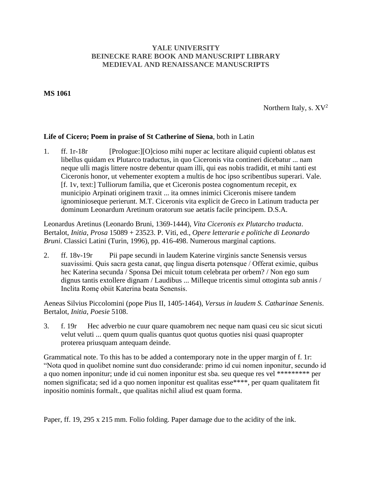## **YALE UNIVERSITY BEINECKE RARE BOOK AND MANUSCRIPT LIBRARY MEDIEVAL AND RENAISSANCE MANUSCRIPTS**

## **MS 1061**

Northern Italy, s.  $XV^2$ 

## **Life of Cicero; Poem in praise of St Catherine of Siena**, both in Latin

1. ff. 1r-18r [Prologue:][O]cioso mihi nuper ac lectitare aliquid cupienti oblatus est libellus quidam ex Plutarco traductus, in quo Ciceronis vita contineri dicebatur ... nam neque ulli magis littere nostre debentur quam illi, qui eas nobis tradidit, et mihi tanti est Ciceronis honor, ut vehementer exoptem a multis de hoc ipso scribentibus superari. Vale. [f. 1v, text:] Tulliorum familia, que et Ciceronis postea cognomentum recepit, ex municipio Arpinati originem traxit ... ita omnes inimici Ciceronis misere tandem ignominioseque perierunt. M.T. Ciceronis vita explicit de Greco in Latinum traducta per dominum Leonardum Aretinum oratorum sue aetatis facile principem. D.S.A.

Leonardus Aretinus (Leonardo Bruni, 1369-1444), *Vita Ciceronis ex Plutarcho traducta*. Bertalot, *Initia*, *Prosa* 15089 + 23523. P. Viti, ed., *Opere letterarie e politiche di Leonardo Bruni*. Classici Latini (Turin, 1996), pp. 416-498. Numerous marginal captions.

2. ff. 18v-19r Pii pape secundi in laudem Katerine virginis sancte Senensis versus suavissimi. Quis sacra gesta canat, quę lingua diserta potensque / Offerat eximie, quibus hec Katerina secunda / Sponsa Dei micuit totum celebrata per orbem? / Non ego sum dignus tantis extollere dignam / Laudibus ... Milleque tricentis simul ottoginta sub annis / Inclita Romę obiit Katerina beata Senensis.

Aeneas Silvius Piccolomini (pope Pius II, 1405-1464), *Versus in laudem S. Catharinae Senenis*. Bertalot, *Initia*, *Poesie* 5108.

3. f. 19r Hec adverbio ne cuur quare quamobrem nec neque nam quasi ceu sic sicut sicuti velut veluti ... quem quum qualis quantus quot quotus quoties nisi quasi quapropter proterea priusquam antequam deinde.

Grammatical note. To this has to be added a contemporary note in the upper margin of f. 1r: "Nota quod in quolibet nomine sunt duo considerande: primo id cui nomen inponitur, secundo id a quo nomen inponitur; unde id cui nomen inponitur est sba. seu queque res vel \*\*\*\*\*\*\*\*\* per nomen significata; sed id a quo nomen inponitur est qualitas esse\*\*\*\*, per quam qualitatem fit inpositio nominis formalt., que qualitas nichil aliud est quam forma.

Paper, ff. 19, 295 x 215 mm. Folio folding. Paper damage due to the acidity of the ink.